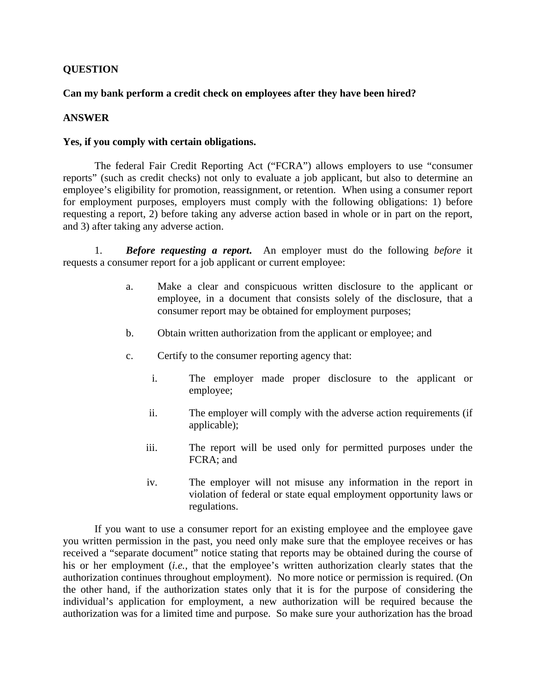## **QUESTION**

## **Can my bank perform a credit check on employees after they have been hired?**

## **ANSWER**

## **Yes, if you comply with certain obligations.**

The federal Fair Credit Reporting Act ("FCRA") allows employers to use "consumer reports" (such as credit checks) not only to evaluate a job applicant, but also to determine an employee's eligibility for promotion, reassignment, or retention. When using a consumer report for employment purposes, employers must comply with the following obligations: 1) before requesting a report, 2) before taking any adverse action based in whole or in part on the report, and 3) after taking any adverse action.

1. *Before requesting a report***.** An employer must do the following *before* it requests a consumer report for a job applicant or current employee:

- a. Make a clear and conspicuous written disclosure to the applicant or employee, in a document that consists solely of the disclosure, that a consumer report may be obtained for employment purposes;
- b. Obtain written authorization from the applicant or employee; and
- c. Certify to the consumer reporting agency that:
	- i. The employer made proper disclosure to the applicant or employee;
	- ii. The employer will comply with the adverse action requirements (if applicable);
	- iii. The report will be used only for permitted purposes under the FCRA; and
	- iv. The employer will not misuse any information in the report in violation of federal or state equal employment opportunity laws or regulations.

If you want to use a consumer report for an existing employee and the employee gave you written permission in the past, you need only make sure that the employee receives or has received a "separate document" notice stating that reports may be obtained during the course of his or her employment (*i.e.*, that the employee's written authorization clearly states that the authorization continues throughout employment). No more notice or permission is required. (On the other hand, if the authorization states only that it is for the purpose of considering the individual's application for employment, a new authorization will be required because the authorization was for a limited time and purpose. So make sure your authorization has the broad